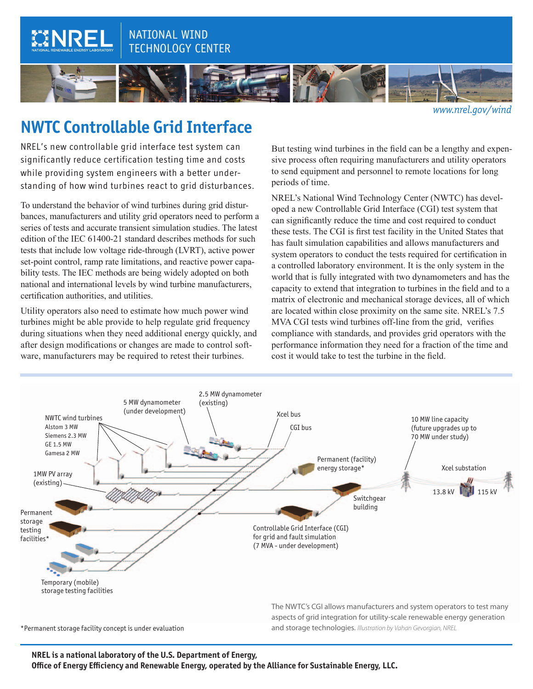## NATIONAL WIND TECHNOLOGY CENTER



*[www.nrel.gov/](http://www.nrel.gov/wind)wind*

# **NWTC Controllable Grid Interface**

CINRE

NREL's new controllable grid interface test system can significantly reduce certification testing time and costs while providing system engineers with a better understanding of how wind turbines react to grid disturbances.

To understand the behavior of wind turbines during grid disturbances, manufacturers and utility grid operators need to perform a series of tests and accurate transient simulation studies. The latest edition of the IEC 61400-21 standard describes methods for such tests that include low voltage ride-through (LVRT), active power set-point control, ramp rate limitations, and reactive power capability tests. The IEC methods are being widely adopted on both national and international levels by wind turbine manufacturers, certification authorities, and utilities.

Utility operators also need to estimate how much power wind turbines might be able provide to help regulate grid frequency during situations when they need additional energy quickly, and after design modifications or changes are made to control software, manufacturers may be required to retest their turbines.

But testing wind turbines in the field can be a lengthy and expensive process often requiring manufacturers and utility operators to send equipment and personnel to remote locations for long periods of time.

NREL's National Wind Technology Center (NWTC) has developed a new Controllable Grid Interface (CGI) test system that can significantly reduce the time and cost required to conduct these tests. The CGI is first test facility in the United States that has fault simulation capabilities and allows manufacturers and system operators to conduct the tests required for certification in a controlled laboratory environment. It is the only system in the world that is fully integrated with two dynamometers and has the capacity to extend that integration to turbines in the field and to a matrix of electronic and mechanical storage devices, all of which are located within close proximity on the same site. NREL's 7.5 MVA CGI tests wind turbines off-line from the grid, verifies compliance with standards, and provides grid operators with the performance information they need for a fraction of the time and cost it would take to test the turbine in the field.



**NREL is a national laboratory of the U.S. Department of Energy, Office of Energy Efficiency and Renewable Energy, operated by the Alliance for Sustainable Energy, LLC.**